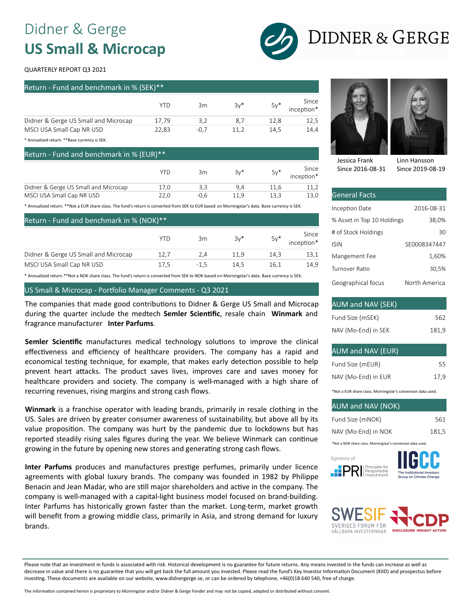# Didner & Gerge **US Small & Microcap**



# **DIDNER & GERGE**

#### QUARTERLY REPORT Q3 2021

| Return - Fund and benchmark in % (SEK)**' |        |        |       |                     |  |
|-------------------------------------------|--------|--------|-------|---------------------|--|
| YTD                                       | 3m     | $3v^*$ | $5y*$ | Since<br>inception* |  |
| 17.79                                     | 3.2    | 8.7    | 12.8  | 12,5                |  |
| 22.83                                     | $-0.7$ | 11.2   | 14.5  | 14.4                |  |
|                                           |        |        |       |                     |  |

Annualized return. \*\* Base currency is SEK

Return Fund and benchmark in % (EUR)\*\*

|                                      | Y LE | Зm   | $3v*$ | $5v*$ | Since<br>inception* |
|--------------------------------------|------|------|-------|-------|---------------------|
| Didner & Gerge US Small and Microcap | 17.0 | 3.3  | 94    | 11.6  |                     |
| MSCI USA Small Cap NR USD            |      | -0.6 | 11.9  | 13.3  |                     |

\* Annualized return. \*\*Not a EUR share class. The fund's return is converted from SEK to EUR based on Morningstar's data. Base currency is SEK.

| Return - Fund and benchmark in % (NOK)** |      |        |       |        |                     |
|------------------------------------------|------|--------|-------|--------|---------------------|
|                                          | YID  | 3m     | $3v*$ | $5y^*$ | Since<br>inception* |
| Didner & Gerge US Small and Microcap     | 12.7 | 2.4    | 11.9  | 14.3   | 13,1                |
| MSCI USA Small Cap NR USD                | 17.5 | $-1.5$ | 14.5  | 16.1   | 14.9                |

\* Annualized return.\*\*Not a NOK share class. The fund's return is converted from SEK to NOK based on Morningstar's data. Base currency is SEK.

### US Small & Microcap - Portfolio Manager Comments - Q3 2021

The companies that made good contributions to Didner & Gerge US Small and Microcap during the quarter include the medtech **Semler Scien�fic**, resale chain **Winmark** and fragrance manufacturer **Inter Parfums**.

**Semler Scientific** manufactures medical technology solutions to improve the clinical effectiveness and efficiency of healthcare providers. The company has a rapid and economical testing technique, for example, that makes early detection possible to help prevent heart attacks. The product saves lives, improves care and saves money for healthcare providers and society. The company is well-managed with a high share of recurring revenues, rising margins and strong cash flows.

**Winmark** is a franchise operator with leading brands, primarily in resale clothing in the US. Sales are driven by greater consumer awareness of sustainability, but above all by its value proposi�on. The company was hurt by the pandemic due to lockdowns but has reported steadily rising sales figures during the year. We believe Winmark can continue growing in the future by opening new stores and generating strong cash flows.

**Inter Parfums** produces and manufactures prestige perfumes, primarily under licence agreements with global luxury brands. The company was founded in 1982 by Philippe Benacin and Jean Madar, who are still major shareholders and active in the company. The company is well-managed with a capital-light business model focused on brand-building. Inter Parfums has historically grown faster than the market. Long-term, market growth will benefit from a growing middle class, primarily in Asia, and strong demand for luxury brands.



Jessica Frank Since 2016-08-31 Linn Hansson Since 2019-08-19

| <b>General Facts</b>       |               |
|----------------------------|---------------|
| Inception Date             | 2016-08-31    |
| % Asset in Top 10 Holdings | 38,0%         |
| # of Stock Holdings        | 30            |
| <b>ISIN</b>                | SE0008347447  |
| Mangement Fee              | 1,60%         |
| Turnover Ratio             | 30,5%         |
| Geographical focus         | North America |

#### AUM and NAV (SEK) Fund Size (mSEK) NAV (Mo-End) in SEK 562 181,9

### AUM and NAV (EUR)

| Fund Size (mEUR)    | 55   |
|---------------------|------|
| NAV (Mo-End) in EUR | 17.9 |

\*Not a EUR share class. Morningstar's conversion data used.

### AUM and NAV (NOK)

| Fund Size (mNOK)                                            | 561   |
|-------------------------------------------------------------|-------|
| NAV (Mo-End) in NOK                                         | 181.5 |
| *Not a NOK share class. Morningstar's conversion data used. |       |







Please note that an investment in funds is associated with risk. Historical development is no guarantee for future returns. Any means invested in the funds can increase as well as decrease in value and there is no guarantee that you will get back the full amount you invested. Please read the fund's Key Investor Information Document (KIID) and prospectus before investing. These documents are available on our website, www.didnergerge.se, or can be ordered by telephone, +46(0)18 640 540, free of charge.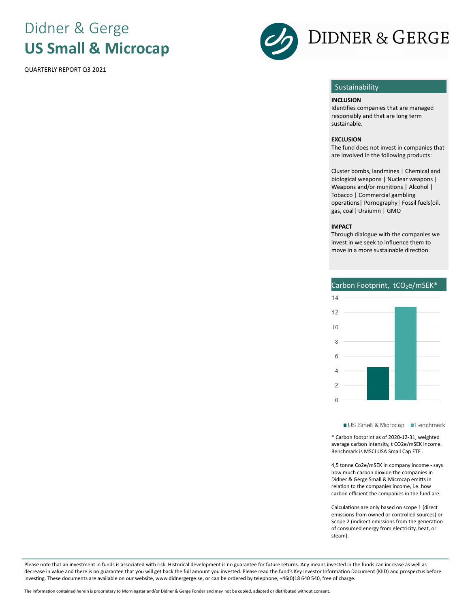# Didner & Gerge **US Small & Microcap**

QUARTERLY REPORT Q3 2021



# **Sustainability**

#### **INCLUSION**

Identifies companies that are managed responsibly and that are long term sustainable.

#### **EXCLUSION**

The fund does not invest in companies that are involved in the following products:

Cluster bombs, landmines | Chemical and biological weapons | Nuclear weapons | Weapons and/or munitions | Alcohol | Tobacco | Commercial gambling operations | Pornography | Fossil fuels(oil, gas, coal| Uraiumn | GMO

#### **IMPACT**

Through dialogue with the companies we invest in we seek to influence them to move in a more sustainable direction.

### Carbon Footprint, tCO<sub>2</sub>e/mSEK<sup>\*</sup>



US Small & Microcap Benchmark

\* Carbon footprint as of 2020-12-31, weighted average carbon intensity, t CO2e/mSEK income. Benchmark is MSCI USA Small Cap ETF .

4,5 tonne Co2e/mSEK in company income - says how much carbon dioxide the companies in Didner & Gerge Small & Microcap emitts in relation to the companies income, i.e. how carbon efficient the companies in the fund are.

Calculations are only based on scope 1 (direct emissions from owned or controlled sources) or Scope 2 (indirect emissions from the generation of consumed energy from electricity, heat, or steam).

Please note that an investment in funds is associated with risk. Historical development is no guarantee for future returns. Any means invested in the funds can increase as well as decrease in value and there is no guarantee that you will get back the full amount you invested. Please read the fund's Key Investor Information Document (KIID) and prospectus before investing. These documents are available on our website, www.didnergerge.se, or can be ordered by telephone, +46(0)18 640 540, free of charge.